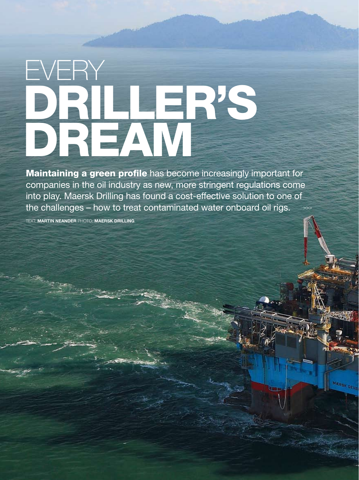# driller's DREAM EVERY

Maintaining a green profile has become increasingly important for companies in the oil industry as new, more stringent regulations come into play. Maersk Drilling has found a cost-effective solution to one of the challenges – how to treat contaminated water onboard oil rigs. >>>

**ARRSK OF** 

Text: Martin Neander photo: maersk drilling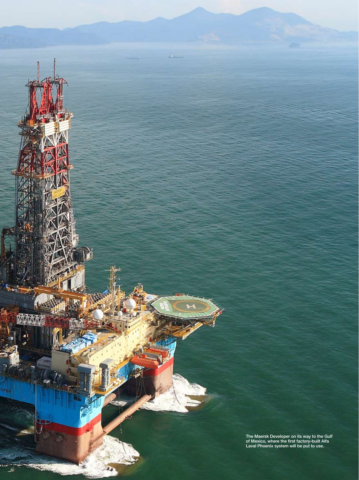t fac<br>ש The Maersk Developer on its way to the Gulf of Mexico, where the first factory-built Alfa Laval Phoenix system will be put to use.

www.alfalaval.com/here *here* october 2009 19

4

é

OPER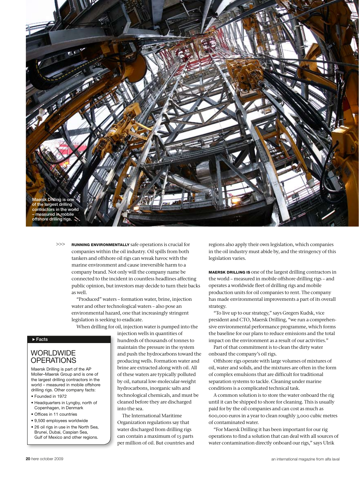

Running environmentally safe operations is crucial for companies within the oil industry. Oil spills from both tankers and offshore oil rigs can wreak havoc with the marine environment and cause irreversible harm to a company brand. Not only will the company name be connected to the incident in countless headlines affecting public opinion, but investors may decide to turn their backs as well. >>>

> "Produced" waters – formation water, brine, injection water and other technological waters – also pose an environmental hazard, one that increasingly stringent legislation is seeking to eradicate.

When drilling for oil, injection water is pumped into the

injection wells in quantities of

### $\overline{\triangleright}$  Facts

## **WORLDWIDE OPERATIONS**

Maersk Drilling is part of the AP Moller–Maersk Group and is one of the largest drilling contractors in the world – measured in mobile offshore drilling rigs. Other company facts:

- Founded in 1972
- Headquarters in Lyngby, north of Copenhagen, in Denmark
- Offices in 11 countries
- 9,500 employees worldwide
- 26 oil rigs in use in the North Sea, Brunei, Dubai, Caspian Sea, Gulf of Mexico and other regions.

hundreds of thousands of tonnes to maintain the pressure in the system and push the hydrocarbons toward the producing wells. Formation water and brine are extracted along with oil. All of these waters are typically polluted by oil, natural low-molecular-weight hydrocarbons, inorganic salts and technological chemicals, and must be cleaned before they are discharged into the sea.

The International Maritime Organization regulations say that water discharged from drilling rigs can contain a maximum of 15 parts per million of oil. But countries and

regions also apply their own legislation, which companies in the oil industry must abide by, and the stringency of this legislation varies.

maersk drilling is one of the largest drilling contractors in the world – measured in mobile offshore drilling rigs – and operates a worldwide fleet of drilling rigs and mobile production units for oil companies to rent. The company has made environmental improvements a part of its overall strategy.

"To live up to our strategy," says Gregers Kudsk, vice president and CTO, Maersk Drilling, "we run a comprehensive environmental performance programme, which forms the baseline for our plans to reduce emissions and the total impact on the environment as a result of our activities."

Part of that commitment is to clean the dirty water onboard the company's oil rigs.

Offshore rigs operate with large volumes of mixtures of oil, water and solids, and the mixtures are often in the form of complex emulsions that are difficult for traditional separation systems to tackle. Cleaning under marine conditions is a complicated technical task.

A common solution is to store the water onboard the rig until it can be shipped to shore for cleaning. This is usually paid for by the oil companies and can cost as much as 600,000 euros in a year to clean roughly 3,000 cubic metres of contaminated water.

"For Maersk Drilling it has been important for our rig operations to find a solution that can deal with all sources of water contamination directly onboard our rigs," says Ulrik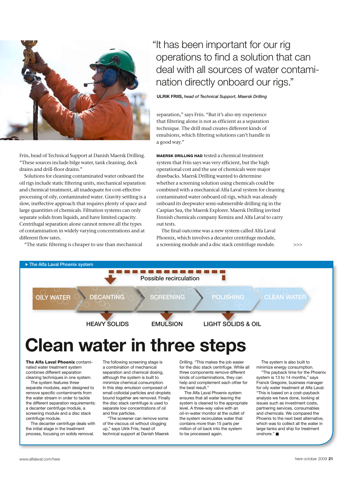

Friis, head of Technical Support at Danish Maersk Drilling. "These sources include bilge water, tank cleaning, deck drains and drill-floor drains."

Solutions for cleaning contaminated water onboard the oil rigs include static filtering units, mechanical separation and chemical treatment, all inadequate for cost-effective processing of oily, contaminated water. Gravity settling is a slow, ineffective approach that requires plenty of space and large quantities of chemicals. Filtration systems can only separate solids from liquids, and have limited capacity. Centrifugal separation alone cannot remove all the types of contamination in widely varying concentrations and at different flow rates.

"The static filtering is cheaper to use than mechanical

## "It has been important for our rig operations to find a solution that can deal with all sources of water contamination directly onboard our rigs."

**ULRIK FRIIS, head of Technical Support, Maersk Drilling** 

separation," says Friis. "But it's also my experience that filtering alone is not as efficient as a separation technique. The drill mud creates different kinds of emulsions, which filtering solutions can't handle in a good way."

MAERSK DRILLING HAD tested a chemical treatment system that Friis says was very efficient, but the high operational cost and the use of chemicals were major drawbacks. Maersk Drilling wanted to determine whether a screening solution using chemicals could be combined with a mechanical Alfa Laval system for cleaning contaminated water onboard oil rigs, which was already onboard its deepwater semi-submersible drilling rig in the Caspian Sea, the Maersk Explorer. Maersk Drilling invited Finnish chemicals company Kemira and Alfa Laval to carry out tests.

The final outcome was a new system called Alfa Laval Phoenix, which involves a decanter centrifuge module, a screening module and a disc stack centrifuge module.

>>>



## Clean water in three steps

The Alfa Laval Phoenix contaminated water treatment system combines different separation cleaning techniques in one system.

The system features three separate modules, each designed to remove specific contaminants from the water stream in order to tackle the different separation requirements: a decanter centrifuge module, a screening module and a disc stack centrifuge module.

The decanter centrifuge deals with the initial stage in the treatment process, focusing on solids removal.

The following screening stage is a combination of mechanical separation and chemical dosing, although the system is built to minimize chemical consumption. In this step emulsion composed of small colloidal particles and droplets bound together are removed. Finally the disc stack centrifuge is used to separate low concentrations of oil and fine particles.

"The screener can remove some of the viscous oil without clogging up," says Ulrik Friis, head of technical support at Danish Maersk Drilling. "This makes the job easier for the disc stack centrifuge. While all three components remove different kinds of contaminations, they can help and complement each other for the best result."

The Alfa Laval Phoenix system ensures that all water leaving the system is cleaned to the appropriate level. A three-way valve with an oil-in-water monitor at the outlet of the system recirculates water that contains more than 15 parts per million of oil back into the system to be processed again.

The system is also built to minimize energy consumption.

large tanks and ship for treatment "The payback time for the Phoenix system is 13 to 14 months," says Franck Gregoire, business manager for oily water treatment at Alfa Laval. "This is based on a cost–payback analysis we have done, looking at issues such as investment costs, partnering services, consumables and chemicals. We compared the Phoenix to the next best alternative, which was to collect all the water in onshore."